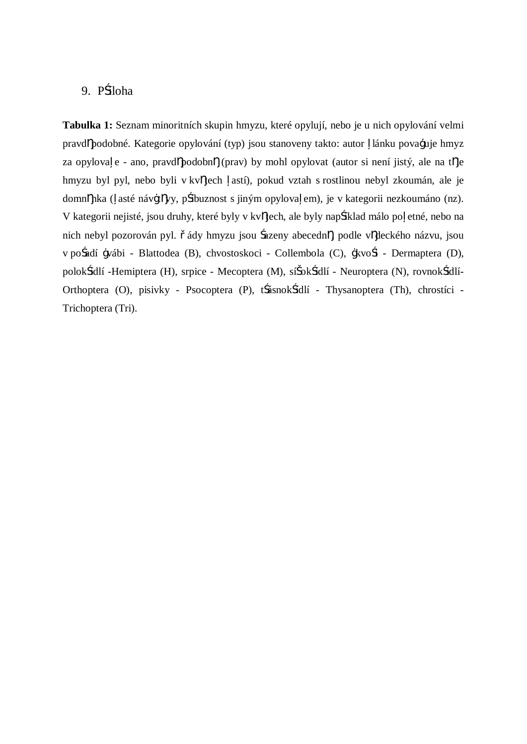## 9. P íloha

**Tabulka 1:** Seznam minoritních skupin hmyzu, které opylují, nebo je u nich opylování velmi pravd podobné. Kategorie opylování (typ) jsou stanoveny takto: autor lánku považuje hmyz za opylova e - ano, pravd podobn (prav) by mohl opylovat (autor si není jistý, ale na t le hmyzu byl pyl, nebo byli v kv tech astí), pokud vztah s rostlinou nebyl zkoumán, ale je domn nka ( asté náv-t vy, p íbuznost s jiným opylova em), je v kategorii nezkoumáno (nz). V kategorii nejisté, jsou druhy, které byly v kv tech, ale byly nap íklad málo po etné, nebo na nich nebyl pozorován pyl. ády hmyzu jsou azeny abecedn , podle v deckého názvu, jsou v po adí -vábi - Blattodea (B), chvostoskoci - Collembola (C), -kvo i - Dermaptera (D), polok ídlí -Hemiptera (H), srpice - Mecoptera (M), sí ok ídlí - Neuroptera (N), rovnok ídlí-Orthoptera (O), pisivky - Psocoptera (P), t ásnok ídlí - Thysanoptera (Th), chrostíci - Trichoptera (Tri).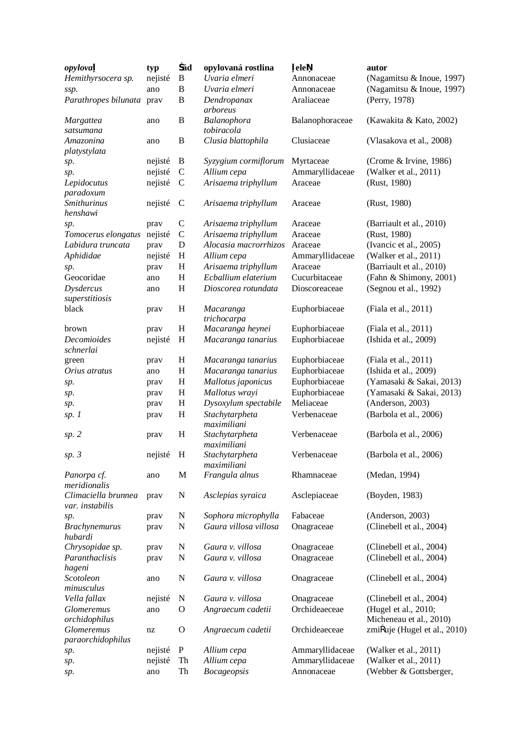| opylova                                | typ     | ád                        | opylovaná rostlina            | ele             | autor                                           |
|----------------------------------------|---------|---------------------------|-------------------------------|-----------------|-------------------------------------------------|
| Hemithyrsocera sp.                     | nejisté | B                         | Uvaria elmeri                 | Annonaceae      | (Nagamitsu & Inoue, 1997)                       |
| ssp.                                   | ano     | $\, {\bf B}$              | Uvaria elmeri                 | Annonaceae      | (Nagamitsu & Inoue, 1997)                       |
| Parathropes bilunata prav              |         | B                         | Dendropanax<br>arboreus       | Araliaceae      | (Perry, 1978)                                   |
| <b>Margattea</b><br>satsumana          | ano     | B                         | Balanophora<br>tobiracola     | Balanophoraceae | (Kawakita & Kato, 2002)                         |
| Amazonina<br>platystylata              | ano     | $\boldsymbol{B}$          | Clusia blattophila            | Clusiaceae      | (Vlasakova et al., 2008)                        |
| sp.                                    | nejisté | $\bf{B}$                  | Syzygium cormiflorum          | Myrtaceae       | (Crome & Irvine, 1986)                          |
| sp.                                    | nejisté | $\mathbf C$               | Allium cepa                   | Ammaryllidaceae | (Walker et al., 2011)                           |
| Lepidocutus                            | nejisté | $\mathbf C$               | Arisaema triphyllum           | Araceae         | (Rust, 1980)                                    |
| paradoxum<br><b>Smithurinus</b>        | nejisté | $\mathbf C$               | Arisaema triphyllum           | Araceae         | (Rust, 1980)                                    |
| henshawi                               |         |                           |                               |                 |                                                 |
| sp.                                    | prav    | $\mathsf{C}$              | Arisaema triphyllum           | Araceae         | (Barriault et al., 2010)                        |
| Tomocerus elongatus                    | nejisté | $\mathsf{C}$              | Arisaema triphyllum           | Araceae         | (Rust, 1980)                                    |
| Labidura truncata                      | prav    | $\mathbf D$               | Alocasia macrorrhizos         | Araceae         | (Ivancic et al., 2005)                          |
| Aphididae                              | nejisté | H                         | Allium cepa                   | Ammaryllidaceae | (Walker et al., 2011)                           |
| sp.                                    | prav    | H                         | Arisaema triphyllum           | Araceae         | (Barriault et al., 2010)                        |
| Geocoridae                             | ano     | H                         | Ecballium elaterium           | Cucurbitaceae   | (Fahn & Shimony, 2001)                          |
| <b>Dysdercus</b><br>superstitiosis     | ano     | H                         | Dioscorea rotundata           | Dioscoreaceae   | (Segnou et al., 1992)                           |
| black                                  | prav    | H                         | Macaranga                     | Euphorbiaceae   | (Fiala et al., 2011)                            |
|                                        |         |                           | trichocarpa                   |                 |                                                 |
| brown                                  | prav    | H                         | Macaranga heynei              | Euphorbiaceae   | (Fiala et al., 2011)                            |
| Decomioides<br>schnerlai               | nejisté | H                         | Macaranga tanarius            | Euphorbiaceae   | (Ishida et al., 2009)                           |
| green                                  | prav    | H                         | Macaranga tanarius            | Euphorbiaceae   | (Fiala et al., 2011)                            |
| Orius atratus                          | ano     | H                         | Macaranga tanarius            | Euphorbiaceae   | (Ishida et al., 2009)                           |
| sp.                                    | prav    | $H_{\rm}$                 | Mallotus japonicus            | Euphorbiaceae   | (Yamasaki & Sakai, 2013)                        |
| sp.                                    | prav    | $H_{\rm}$                 | Mallotus wrayi                | Euphorbiaceae   | (Yamasaki & Sakai, 2013)                        |
| sp.                                    | prav    | $\boldsymbol{\mathrm{H}}$ | Dysoxylum spectabile          | Meliaceae       | (Anderson, 2003)                                |
| sp.1                                   | prav    | H                         | Stachytarpheta<br>maximiliani | Verbenaceae     | (Barbola et al., 2006)                          |
| sp. 2                                  | prav    | $H_{\rm}$                 | Stachytarpheta<br>maximiliani | Verbenaceae     | (Barbola et al., 2006)                          |
| sp.3                                   | nejisté | H                         | Stachytarpheta<br>maximiliani | Verbenaceae     | (Barbola et al., 2006)                          |
| Panorpa cf.<br>meridionalis            | ano     | M                         | Frangula alnus                | Rhamnaceae      | (Medan, 1994)                                   |
| Climaciella brunnea<br>var. instabilis | pray    | N                         | Asclepias syraica             | Asclepiaceae    | (Boyden, 1983)                                  |
| sp.                                    | prav    | N                         | Sophora microphylla           | Fabaceae        | (Anderson, 2003)                                |
| <b>Brachynemurus</b><br>hubardi        | prav    | $\mathbf N$               | Gaura villosa villosa         | Onagraceae      | (Clinebell et al., 2004)                        |
| Chrysopidae sp.                        | prav    | N                         | Gaura v. villosa              | Onagraceae      | (Clinebell et al., 2004)                        |
| Paranthaclisis                         | prav    | $\mathbf N$               | Gaura v. villosa              | Onagraceae      | (Clinebell et al., 2004)                        |
| hageni                                 |         |                           |                               |                 |                                                 |
| Scotoleon<br>minusculus                | ano     | N                         | Gaura v. villosa              | Onagraceae      | (Clinebell et al., 2004)                        |
| Vella fallax                           | nejisté | N                         | Gaura v. villosa              | Onagraceae      | (Clinebell et al., 2004)                        |
| Glomeremus<br>orchidophilus            | ano     | $\mathbf O$               | Angraecum cadetii             | Orchideaeceae   | (Hugel et al., 2010;<br>Micheneau et al., 2010) |
| Glomeremus<br>paraorchidophilus        | nz      | $\mathbf O$               | Angraecum cadetii             | Orchideaeceae   | zmi uje (Hugel et al., 2010)                    |
| sp.                                    | nejisté | $\mathbf P$               | Allium cepa                   | Ammaryllidaceae | (Walker et al., 2011)                           |
| sp.                                    | nejisté | Th                        | Allium cepa                   | Ammaryllidaceae | (Walker et al., 2011)                           |
| sp.                                    | ano     | Th                        | <b>Bocageopsis</b>            | Annonaceae      | (Webber & Gottsberger,                          |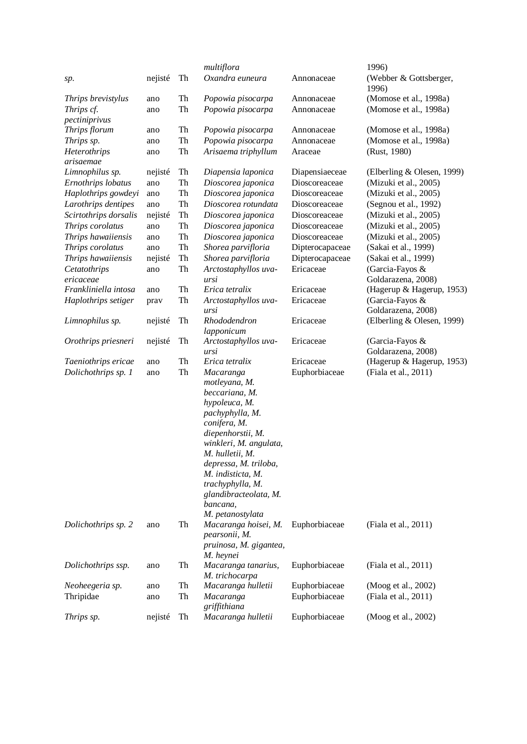|                                            |            |          | multiflora                                                                                                                                                                                                                                                                                                            |                                | 1996)                                            |
|--------------------------------------------|------------|----------|-----------------------------------------------------------------------------------------------------------------------------------------------------------------------------------------------------------------------------------------------------------------------------------------------------------------------|--------------------------------|--------------------------------------------------|
| sp.                                        | nejisté    | Th       | Oxandra euneura                                                                                                                                                                                                                                                                                                       | Annonaceae                     | (Webber & Gottsberger,<br>1996)                  |
| Thrips brevistylus                         | ano        | Th       | Popowia pisocarpa                                                                                                                                                                                                                                                                                                     | Annonaceae                     | (Momose et al., 1998a)                           |
| Thrips cf.                                 | ano        | Th       | Popowia pisocarpa                                                                                                                                                                                                                                                                                                     | Annonaceae                     | (Momose et al., 1998a)                           |
| pectiniprivus                              |            |          |                                                                                                                                                                                                                                                                                                                       |                                |                                                  |
| Thrips florum                              | ano        | Th       | Popowia pisocarpa                                                                                                                                                                                                                                                                                                     | Annonaceae                     | (Momose et al., 1998a)                           |
| Thrips sp.                                 | ano        | Th       | Popowia pisocarpa                                                                                                                                                                                                                                                                                                     | Annonaceae                     | (Momose et al., 1998a)                           |
| Heterothrips<br>arisaemae                  | ano        | Th       | Arisaema triphyllum                                                                                                                                                                                                                                                                                                   | Araceae                        | (Rust, 1980)                                     |
| Limnophilus sp.                            | nejisté    | Th       | Diapensia laponica                                                                                                                                                                                                                                                                                                    | Diapensiaeceae                 | (Elberling & Olesen, 1999)                       |
| Ernothrips lobatus                         | ano        | Th       | Dioscorea japonica                                                                                                                                                                                                                                                                                                    | Dioscoreaceae                  | (Mizuki et al., 2005)                            |
| Haplothrips gowdeyi                        | ano        | Th       | Dioscorea japonica                                                                                                                                                                                                                                                                                                    | Dioscoreaceae                  | (Mizuki et al., 2005)                            |
| Larothrips dentipes                        | ano        | Th       | Dioscorea rotundata                                                                                                                                                                                                                                                                                                   | Dioscoreaceae                  | (Segnou et al., 1992)                            |
| Scirtothrips dorsalis                      | nejisté    | Th       | Dioscorea japonica                                                                                                                                                                                                                                                                                                    | Dioscoreaceae                  | (Mizuki et al., 2005)                            |
| Thrips corolatus                           | ano        | Th       | Dioscorea japonica                                                                                                                                                                                                                                                                                                    | Dioscoreaceae                  | (Mizuki et al., 2005)                            |
| Thrips hawaiiensis                         | ano        | Th       | Dioscorea japonica                                                                                                                                                                                                                                                                                                    | Dioscoreaceae                  | (Mizuki et al., 2005)                            |
| Thrips corolatus                           | ano        | Th       | Shorea parvifloria                                                                                                                                                                                                                                                                                                    | Dipterocapaceae                | (Sakai et al., 1999)                             |
| Thrips hawaiiensis                         | nejisté    | Th       | Shorea parvifloria                                                                                                                                                                                                                                                                                                    | Dipterocapaceae                | (Sakai et al., 1999)                             |
| Cetatothrips                               | ano        | Th       | Arctostaphyllos uva-                                                                                                                                                                                                                                                                                                  | Ericaceae                      | (Garcia-Fayos &                                  |
| ericaceae                                  |            |          | ursi                                                                                                                                                                                                                                                                                                                  |                                | Goldarazena, 2008)                               |
| Frankliniella intosa                       | ano        | Th       | Erica tetralix                                                                                                                                                                                                                                                                                                        | Ericaceae                      | (Hagerup & Hagerup, 1953)                        |
| Haplothrips setiger                        | prav       | Th       | Arctostaphyllos uva-                                                                                                                                                                                                                                                                                                  | Ericaceae                      | (Garcia-Fayos &                                  |
| Limnophilus sp.                            | nejisté    | Th       | ursi<br>Rhododendron                                                                                                                                                                                                                                                                                                  | Ericaceae                      | Goldarazena, 2008)<br>(Elberling & Olesen, 1999) |
|                                            |            |          | lapponicum                                                                                                                                                                                                                                                                                                            |                                |                                                  |
| Orothrips priesneri                        | nejisté    | Th       | Arctostaphyllos uva-<br>ursi                                                                                                                                                                                                                                                                                          | Ericaceae                      | (Garcia-Fayos &<br>Goldarazena, 2008)            |
| Taeniothrips ericae                        | ano        | Th       | Erica tetralix                                                                                                                                                                                                                                                                                                        | Ericaceae                      | (Hagerup & Hagerup, 1953)                        |
| Dolichothrips sp. 1<br>Dolichothrips sp. 2 | ano<br>ano | Th<br>Th | Macaranga<br>motleyana, M.<br>beccariana, M.<br>hypoleuca, M.<br>pachyphylla, M.<br>conifera, M.<br>diepenhorstii, M.<br>winkleri, M. angulata,<br>M. hulletii, M.<br>depressa, M. triloba,<br>M. indisticta, M.<br>trachyphylla, M.<br>glandibracteolata, M.<br>bancana,<br>M. petanostylata<br>Macaranga hoisei, M. | Euphorbiaceae<br>Euphorbiaceae | (Fiala et al., 2011)<br>(Fiala et al., 2011)     |
|                                            |            |          | pearsonii, M.<br>pruinosa, M. gigantea,<br>M. heynei                                                                                                                                                                                                                                                                  |                                |                                                  |
| Dolichothrips ssp.                         | ano        | Th       | Macaranga tanarius,<br>M. trichocarpa                                                                                                                                                                                                                                                                                 | Euphorbiaceae                  | (Fiala et al., 2011)                             |
| Neoheegeria sp.                            | ano        | Th       | Macaranga hulletii                                                                                                                                                                                                                                                                                                    | Euphorbiaceae                  | (Moog et al., 2002)                              |
| Thripidae                                  | ano        | Th       | Macaranga<br>griffithiana                                                                                                                                                                                                                                                                                             | Euphorbiaceae                  | (Fiala et al., 2011)                             |
| Thrips sp.                                 | nejisté    | Th       | Macaranga hulletii                                                                                                                                                                                                                                                                                                    | Euphorbiaceae                  | (Moog et al., 2002)                              |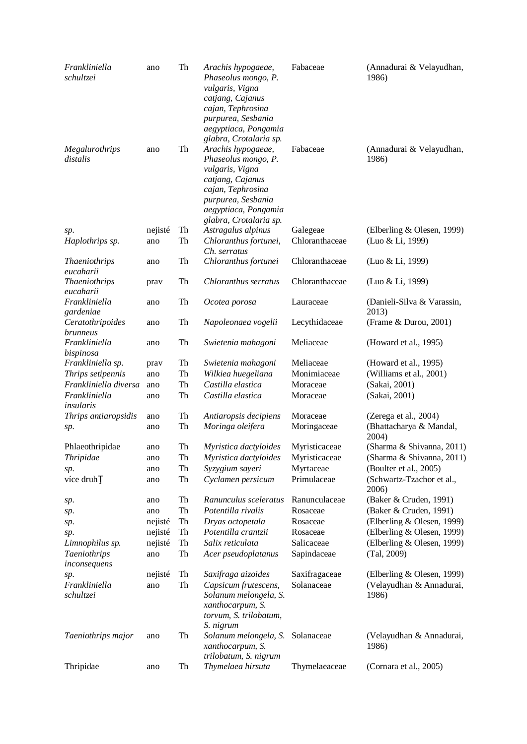| Frankliniella<br>schultzei          | ano                | Th       | Arachis hypogaeae,<br>Phaseolus mongo, P.<br>vulgaris, Vigna<br>catjang, Cajanus<br>cajan, Tephrosina<br>purpurea, Sesbania<br>aegyptiaca, Pongamia                                                     | Fabaceae                    | (Annadurai & Velayudhan,<br>1986)                               |
|-------------------------------------|--------------------|----------|---------------------------------------------------------------------------------------------------------------------------------------------------------------------------------------------------------|-----------------------------|-----------------------------------------------------------------|
| Megalurothrips<br>distalis          | ano                | Th       | glabra, Crotalaria sp.<br>Arachis hypogaeae,<br>Phaseolus mongo, P.<br>vulgaris, Vigna<br>catjang, Cajanus<br>cajan, Tephrosina<br>purpurea, Sesbania<br>aegyptiaca, Pongamia<br>glabra, Crotalaria sp. | Fabaceae                    | (Annadurai & Velayudhan,<br>1986)                               |
| sp.                                 | nejisté            | Th       | Astragalus alpinus                                                                                                                                                                                      | Galegeae                    | (Elberling & Olesen, 1999)                                      |
| Haplothrips sp.                     | ano                | Th       | Chloranthus fortunei,<br>Ch. serratus                                                                                                                                                                   | Chloranthaceae              | (Luo & Li, 1999)                                                |
| <b>Thaeniothrips</b><br>eucaharii   | ano                | Th       | Chloranthus fortunei                                                                                                                                                                                    | Chloranthaceae              | (Luo & Li, 1999)                                                |
| <b>Thaeniothrips</b><br>eucaharii   | prav               | Th       | Chloranthus serratus                                                                                                                                                                                    | Chloranthaceae              | (Luo & Li, 1999)                                                |
| Frankliniella<br>gardeniae          | ano                | Th       | Ocotea porosa                                                                                                                                                                                           | Lauraceae                   | (Danieli-Silva & Varassin,<br>2013)                             |
| Ceratothripoides<br><i>brunneus</i> | ano                | Th       | Napoleonaea vogelii                                                                                                                                                                                     | Lecythidaceae               | (Frame & Durou, 2001)                                           |
| Frankliniella<br>bispinosa          | ano                | Th       | Swietenia mahagoni                                                                                                                                                                                      | Meliaceae                   | (Howard et al., 1995)                                           |
| Frankliniella sp.                   | prav               | Th       | Swietenia mahagoni                                                                                                                                                                                      | Meliaceae                   | (Howard et al., 1995)                                           |
| Thrips setipennis                   | ano                | Th       | Wilkiea huegeliana                                                                                                                                                                                      | Monimiaceae                 | (Williams et al., 2001)                                         |
| Frankliniella diversa               | ano                | Th       | Castilla elastica                                                                                                                                                                                       | Moraceae                    | (Sakai, 2001)                                                   |
| Frankliniella<br>insularis          | ano                | Th       | Castilla elastica                                                                                                                                                                                       | Moraceae                    | (Sakai, 2001)                                                   |
| Thrips antiaropsidis                | ano                | Th       | Antiaropsis decipiens                                                                                                                                                                                   | Moraceae                    | (Zerega et al., 2004)                                           |
| sp.                                 | ano                | Th       | Moringa oleifera                                                                                                                                                                                        | Moringaceae                 | (Bhattacharya & Mandal,<br>2004)                                |
| Phlaeothripidae                     | ano                | Th       | Myristica dactyloides                                                                                                                                                                                   | Myristicaceae               | (Sharma & Shivanna, 2011)                                       |
| Thripidae                           | ano                | Th       | Myristica dactyloides                                                                                                                                                                                   | Myristicaceae               | (Sharma & Shivanna, 2011)                                       |
| sp.                                 | ano                | Th       | Syzygium sayeri                                                                                                                                                                                         | Myrtaceae                   | (Boulter et al., 2005)                                          |
| více druh                           | ano                | Th       | Cyclamen persicum                                                                                                                                                                                       | Primulaceae                 | (Schwartz-Tzachor et al.,<br>2006)                              |
| sp.                                 | ano                | Th       | Ranunculus sceleratus                                                                                                                                                                                   | Ranunculaceae               | (Baker & Cruden, 1991)                                          |
| sp.                                 | ano                | Th       | Potentilla rivalis                                                                                                                                                                                      | Rosaceae                    | (Baker & Cruden, 1991)                                          |
| sp.                                 | nejisté            | Th<br>Th | Dryas octopetala<br>Potentilla crantzii                                                                                                                                                                 | Rosaceae<br>Rosaceae        | (Elberling & Olesen, 1999)<br>(Elberling & Olesen, 1999)        |
| sp.<br>Limnophilus sp.              | nejisté<br>nejisté | Th       | Salix reticulata                                                                                                                                                                                        | Salicaceae                  | (Elberling & Olesen, 1999)                                      |
| <b>Taeniothrips</b>                 | ano                | Th       | Acer pseudoplatanus                                                                                                                                                                                     | Sapindaceae                 | (Tal, 2009)                                                     |
| inconsequens                        |                    |          |                                                                                                                                                                                                         |                             |                                                                 |
| sp.<br>Frankliniella<br>schultzei   | nejisté<br>ano     | Th<br>Th | Saxifraga aizoides<br>Capsicum frutescens,<br>Solanum melongela, S.<br>xanthocarpum, S.<br>torvum, S. trilobatum,                                                                                       | Saxifragaceae<br>Solanaceae | (Elberling & Olesen, 1999)<br>(Velayudhan & Annadurai,<br>1986) |
| Taeniothrips major                  | ano                | Th       | S. nigrum<br>Solanum melongela, S.<br>xanthocarpum, S.<br>trilobatum, S. nigrum                                                                                                                         | Solanaceae                  | (Velayudhan & Annadurai,<br>1986)                               |
| Thripidae                           | ano                | Th       | Thymelaea hirsuta                                                                                                                                                                                       | Thymelaeaceae               | (Cornara et al., 2005)                                          |